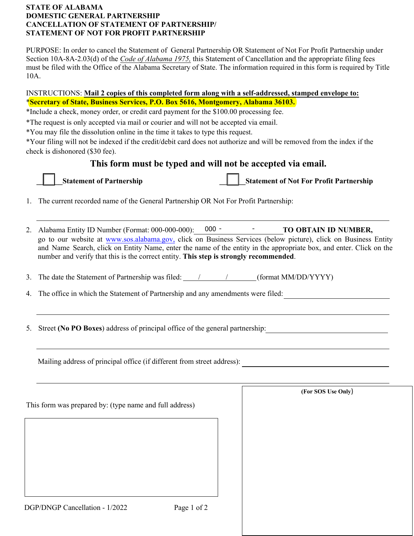## **STATE OF ALABAMA DOMESTIC GENERAL PARTNERSHIP CANCELLATION OF STATEMENT OF PARTNERSHIP/ STATEMENT OF NOT FOR PROFIT PARTNERSHIP**

PURPOSE: In order to cancel the Statement of General Partnership OR Statement of Not For Profit Partnership under Section 10A-8A-2.03(d) of the *Code of Alabama 1975,* this Statement of Cancellation and the appropriate filing fees must be filed with the Office of the Alabama Secretary of State. The information required in this form is required by Title 10A.

## INSTRUCTIONS: **Mail 2 copies of this completed form along with a self-addressed, stamped envelope to:** \***Secretary of State, Business Services, P.O. Box 5616, Montgomery, Alabama 36103.**

\*Include a check, money order, or credit card payment for the \$100.00 processing fee.

\*The request is only accepted via mail or courier and will not be accepted via email.

\*You may file the dissolution online in the time it takes to type this request.

\*Your filing will not be indexed if the credit/debit card does not authorize and will be removed from the index if the check is dishonored (\$30 fee).

# **This form must be typed and will not be accepted via email.**



**Transformation Statement of Partnership Left Statement of Not For Profit Partnership** 

- 1. The current recorded name of the General Partnership OR Not For Profit Partnership:
- 2. Alabama Entity ID Number (Format: 000-000-000): **TO OBTAIN ID NUMBER,** 000 go to our website at [www.sos.alabama.gov](http://www.sos.alabama.gov/), click on Business Services (below picture), click on Business Entity and Name Search, click on Entity Name, enter the name of the entity in the appropriate box, and enter. Click on the number and verify that this is the correct entity. **This step is strongly recommended**.
- 3. The date the Statement of Partnership was filed:  $\angle$  / (format MM/DD/YYYY)
- 4. The office in which the Statement of Partnership and any amendments were filed:
- 5. Street **(No PO Boxes**) address of principal office of the general partnership:

Mailing address of principal office (if different from street address):

This form was prepared by: (type name and full address) **(For SOS Use Only**)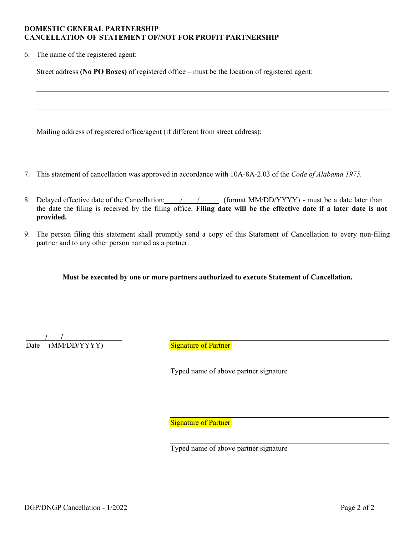#### **DOMESTIC GENERAL PARTNERSHIP CANCELLATION OF STATEMENT OF/NOT FOR PROFIT PARTNERSHIP**

6. The name of the registered agent:

Street address **(No PO Boxes)** of registered office – must be the location of registered agent:

Mailing address of registered office/agent (if different from street address):

- 7. This statement of cancellation was approved in accordance with 10A-8A-2.03 of the *Code of Alabama 1975.*
- 8. Delayed effective date of the Cancellation:  $/$  /  $/$  (format MM/DD/YYYY) must be a date later than the date the filing is received by the filing office. **Filing date will be the effective date if a later date is not provided.**
- 9. The person filing this statement shall promptly send a copy of this Statement of Cancellation to every non-filing partner and to any other person named as a partner.

**Must be executed by one or more partners authorized to execute Statement of Cancellation.**

Date (MM/DD/YYYY) Signature of Partner / /

Typed name of above partner signature

**Signature of Partner** 

Typed name of above partner signature